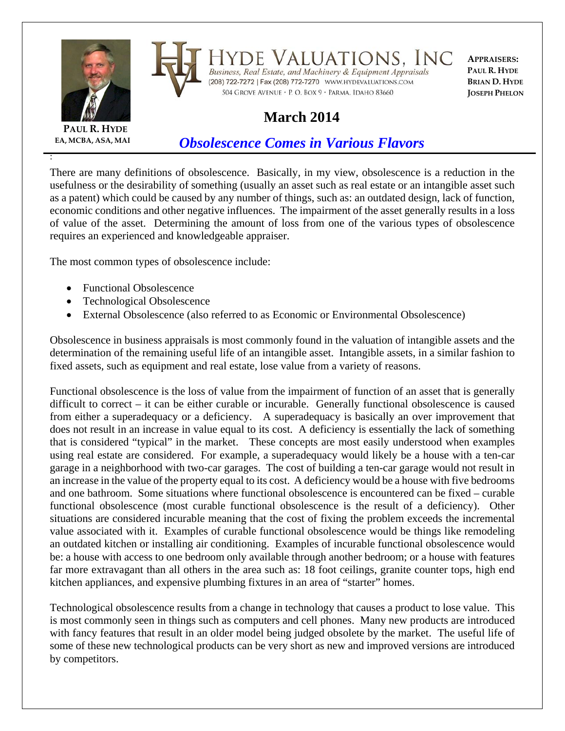



Valuations, Inc DE Business, Real Estate, and Machinery & Equipment Appraisals 

**APPRAISERS: PAUL R. HYDE BRIAN D. HYDE JOSEPH PHELON**

## **March 2014**

504 GROVE AVENUE · P. O. BOX 9 · PARMA, IDAHO 83660

**PAUL R. HYDE EA, MCBA, ASA, MAI**

:

## *Obsolescence Comes in Various Flavors*

There are many definitions of obsolescence. Basically, in my view, obsolescence is a reduction in the usefulness or the desirability of something (usually an asset such as real estate or an intangible asset such as a patent) which could be caused by any number of things, such as: an outdated design, lack of function, economic conditions and other negative influences. The impairment of the asset generally results in a loss of value of the asset. Determining the amount of loss from one of the various types of obsolescence requires an experienced and knowledgeable appraiser.

The most common types of obsolescence include:

- Functional Obsolescence
- Technological Obsolescence
- External Obsolescence (also referred to as Economic or Environmental Obsolescence)

Obsolescence in business appraisals is most commonly found in the valuation of intangible assets and the determination of the remaining useful life of an intangible asset. Intangible assets, in a similar fashion to fixed assets, such as equipment and real estate, lose value from a variety of reasons.

Functional obsolescence is the loss of value from the impairment of function of an asset that is generally difficult to correct – it can be either curable or incurable. Generally functional obsolescence is caused from either a superadequacy or a deficiency. A superadequacy is basically an over improvement that does not result in an increase in value equal to its cost. A deficiency is essentially the lack of something that is considered "typical" in the market. These concepts are most easily understood when examples using real estate are considered. For example, a superadequacy would likely be a house with a ten-car garage in a neighborhood with two-car garages. The cost of building a ten-car garage would not result in an increase in the value of the property equal to its cost. A deficiency would be a house with five bedrooms and one bathroom. Some situations where functional obsolescence is encountered can be fixed – curable functional obsolescence (most curable functional obsolescence is the result of a deficiency). Other situations are considered incurable meaning that the cost of fixing the problem exceeds the incremental value associated with it. Examples of curable functional obsolescence would be things like remodeling an outdated kitchen or installing air conditioning. Examples of incurable functional obsolescence would be: a house with access to one bedroom only available through another bedroom; or a house with features far more extravagant than all others in the area such as: 18 foot ceilings, granite counter tops, high end kitchen appliances, and expensive plumbing fixtures in an area of "starter" homes.

Technological obsolescence results from a change in technology that causes a product to lose value. This is most commonly seen in things such as computers and cell phones. Many new products are introduced with fancy features that result in an older model being judged obsolete by the market. The useful life of some of these new technological products can be very short as new and improved versions are introduced by competitors.